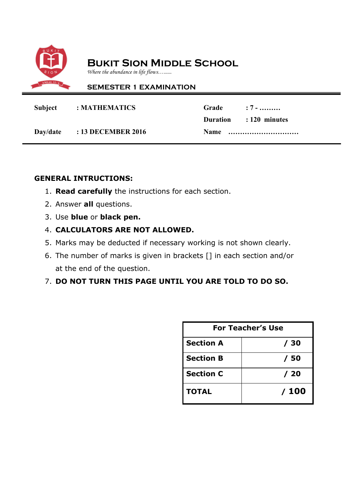

### **Bukit Sion Middle School**

*Where the abundance in life flows…......*

### **SEMESTER 1 EXAMINATION**

| Subject : MATHEMATICS       | Grade : 7 -            |  |
|-----------------------------|------------------------|--|
|                             | Duration : 120 minutes |  |
| Day/date : 13 DECEMBER 2016 |                        |  |

### **GENERAL INTRUCTIONS:**

- 1. **Read carefully** the instructions for each section.
- 2. Answer **all** questions.
- 3. Use **blue** or **black pen.**
- 4. **CALCULATORS ARE NOT ALLOWED.**
- 5. Marks may be deducted if necessary working is not shown clearly.
- 6. The number of marks is given in brackets [] in each section and/or at the end of the question.

### 7. **DO NOT TURN THIS PAGE UNTIL YOU ARE TOLD TO DO SO.**

| <b>For Teacher's Use</b> |      |  |
|--------------------------|------|--|
| <b>Section A</b>         | / 30 |  |
| <b>Section B</b>         | / 50 |  |
| <b>Section C</b>         | /20  |  |
| <b>TOTAL</b>             | /100 |  |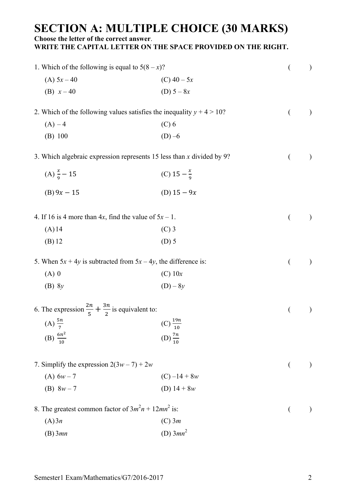# **SECTION A: MULTIPLE CHOICE (30 MARKS)**

**Choose the letter of the correct answer**.

**WRITE THE CAPITAL LETTER ON THE SPACE PROVIDED ON THE RIGHT.**

| 1. Which of the following is equal to $5(8-x)$ ?                         |                        | $\left($       | $\mathcal{E}$ |
|--------------------------------------------------------------------------|------------------------|----------------|---------------|
| (A) $5x - 40$                                                            | (C) $40 - 5x$          |                |               |
| (B) $x-40$                                                               | (D) $5 - 8x$           |                |               |
| 2. Which of the following values satisfies the inequality $y + 4 > 10$ ? |                        | €              | $\mathcal{E}$ |
| $(A) - 4$                                                                | $(C)$ 6                |                |               |
| (B) 100                                                                  | $(D) -6$               |                |               |
| 3. Which algebraic expression represents 15 less than $x$ divided by 9?  |                        | €              | $\big)$       |
| (A) $\frac{x}{9} - 15$                                                   | (C) $15 - \frac{x}{9}$ |                |               |
| $(B) 9x - 15$                                                            | (D) $15 - 9x$          |                |               |
| 4. If 16 is 4 more than 4x, find the value of $5x - 1$ .                 |                        | €              | $\big)$       |
| $(A)$ 14                                                                 | $(C)$ 3                |                |               |
| $(B)$ 12                                                                 | $(D)$ 5                |                |               |
| 5. When $5x + 4y$ is subtracted from $5x - 4y$ , the difference is:      |                        | €              | $\big)$       |
| $(A)$ 0                                                                  | $(C)$ 10x              |                |               |
| $(B)$ 8y                                                                 | $(D) - 8y$             |                |               |
| 6. The expression $\frac{2n}{5} + \frac{3n}{2}$ is equivalent to:        |                        |                | $\mathcal{E}$ |
| (A) $\frac{5n}{7}$                                                       | (C) $\frac{19n}{10}$   |                |               |
| (B) $\frac{6n^2}{10}$                                                    | (D) $\frac{7n}{10}$    |                |               |
|                                                                          |                        |                |               |
| 7. Simplify the expression $2(3w - 7) + 2w$                              |                        | €              |               |
| (A) $6w - 7$                                                             | $(C) -14 + 8w$         |                |               |
| (B) $8w - 7$                                                             | (D) $14 + 8w$          |                |               |
| 8. The greatest common factor of $3m^2n + 12mn^2$ is:                    |                        | $\overline{(}$ |               |
| (A)3n                                                                    | $(C)$ 3 <i>m</i>       |                |               |
| $(B)$ 3mn                                                                | (D) $3mn^2$            |                |               |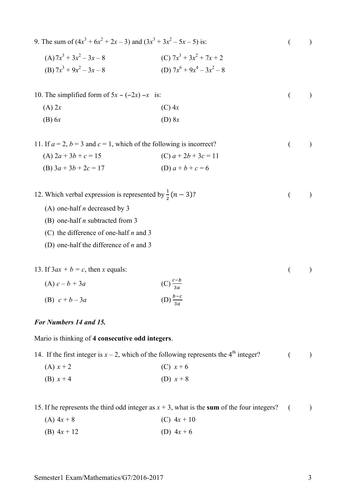| 9. The sum of $(4x^3 + 6x^2 + 2x - 3)$ and $(3x^3 + 3x^2 - 5x - 5)$ is:     |                                                            | €              |               |
|-----------------------------------------------------------------------------|------------------------------------------------------------|----------------|---------------|
| $(A) 7x^3 + 3x^2 - 3x - 8$<br>(B) $7x^3 + 9x^2 - 3x - 8$                    | (C) $7x^3 + 3x^2 + 7x + 2$<br>(D) $7x^6 + 9x^4 - 3x^2 - 8$ |                |               |
| 10. The simplified form of $5x - (-2x) -x$ is:                              |                                                            | $\overline{(}$ | $\mathcal{E}$ |
| $(A)$ 2x                                                                    | $(C)$ 4x                                                   |                |               |
| $(B)$ 6x                                                                    | $(D)$ 8x                                                   |                |               |
| 11. If $a = 2$ , $b = 3$ and $c = 1$ , which of the following is incorrect? |                                                            | €              |               |
| (A) $2a + 3b + c = 15$                                                      | (C) $a + 2b + 3c = 11$                                     |                |               |
| (B) $3a + 3b + 2c = 17$                                                     | (D) $a + b + c = 6$                                        |                |               |
| 12. Which verbal expression is represented by $\frac{1}{2}(n-3)$ ?          |                                                            | $\left($       |               |
| (A) one-half $n$ decreased by 3                                             |                                                            |                |               |
| (B) one-half $n$ subtracted from 3                                          |                                                            |                |               |
| (C) the difference of one-half $n$ and 3                                    |                                                            |                |               |
| (D) one-half the difference of $n$ and 3                                    |                                                            |                |               |
| 13. If $3ax + b = c$ , then x equals:                                       |                                                            | €              |               |
| (A) $c - b + 3a$                                                            | $(C) \frac{c-b}{3a}$                                       |                |               |
| (B) $c + b - 3a$                                                            | (D) $\frac{b-c}{3a}$                                       |                |               |

### *For Numbers 14 and 15.*

Mario is thinking of **4 consecutive odd integers**.

14. If the first integer is  $x - 2$ , which of the following represents the 4<sup>th</sup> integer? ( ) (A)  $x + 2$  (C)  $x + 6$ (B)  $x + 4$  (D)  $x + 8$ 

15. If he represents the third odd integer as  $x + 3$ , what is the **sum** of the four integers? ( )

- (A)  $4x + 8$  (C)  $4x + 10$
- (B)  $4x + 12$  (D)  $4x + 6$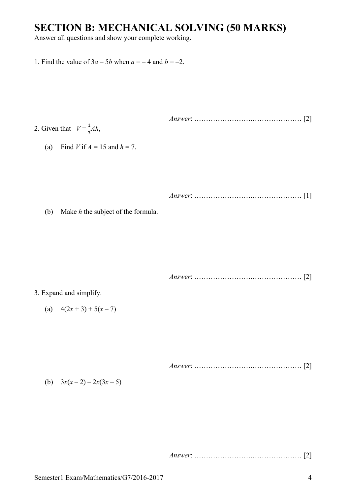### **SECTION B: MECHANICAL SOLVING (50 MARKS)**

Answer all questions and show your complete working.

- 1. Find the value of  $3a 5b$  when  $a = -4$  and  $b = -2$ .
- *Answer*: …………………….………………… [2] 2. Given that  $V = \frac{1}{2}$  $\frac{1}{3}Ah$ ,
	- (a) Find *V* if  $A = 15$  and  $h = 7$ .

*Answer*: …………………….………………… [1]

(b) Make *h* the subject of the formula.

*Answer*: …………………….………………… [2]

#### 3. Expand and simplify.

(a)  $4(2x+3)+5(x-7)$ 

*Answer*: …………………….………………… [2]

(b)  $3x(x-2) - 2x(3x-5)$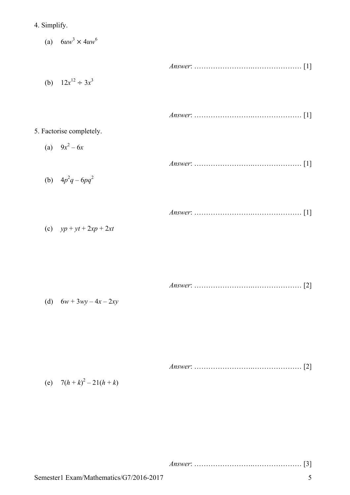4. Simplify.

(a)  $6uw^3 \times 4uw^6$ 

*Answer*: …………………….………………… [1] (b)  $12x^{12} \div 3x^3$ *Answer*: …………………….………………… [1] 5. Factorise completely. (a)  $9x^2 - 6x$ *Answer*: …………………….………………… [1] (b)  $4p^2q - 6pq^2$ *Answer*: …………………….………………… [1] (c) *yp* + *yt* + 2*xp* + 2*xt*

|--|--|

(d)  $6w + 3wy - 4x - 2xy$ 

(e) 
$$
7(h+k)^2 - 21(h+k)
$$

|--|--|--|--|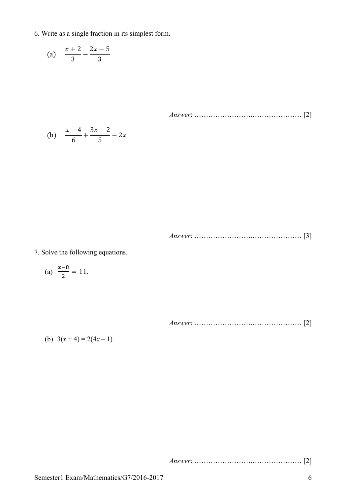6. Write as a single fraction in its simplest form.

(a) 
$$
\frac{x+2}{3} - \frac{2x-5}{3}
$$

*Answer*: …………………….………………… [2]

(b) 
$$
\frac{x-4}{6} + \frac{3x-2}{5} - 2x
$$

*Answer*: …………………….………………… [3]

7. Solve the following equations.

(a) 
$$
\frac{x-8}{2} = 11.
$$

*Answer*: …………………….………………… [2]

(b)  $3(x+4) = 2(4x-1)$ 

*Answer*: …………………….………………… [2]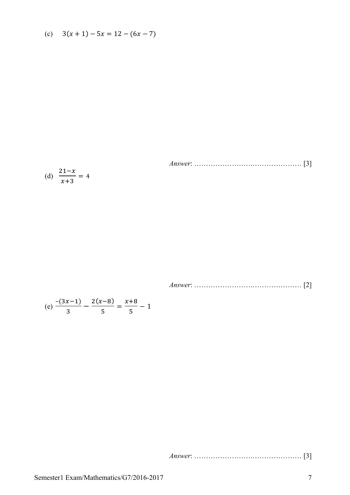(c) 
$$
3(x+1) - 5x = 12 - (6x - 7)
$$

Answer: 
$$
Answer: \qquad \qquad [3]
$$

*Answer*: …………………….………………… [2]

(e) 
$$
\frac{-(3x-1)}{3} - \frac{2(x-8)}{5} = \frac{x+8}{5} - 1
$$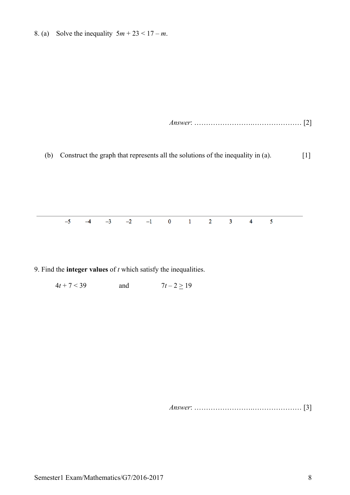8. (a) Solve the inequality  $5m + 23 < 17 - m$ .

*Answer*: …………………….………………… [2]

(b) Construct the graph that represents all the solutions of the inequality in (a). [1]

 $-5$  $-3$  $-2$  $-1$  $\bf{0}$  $\mathbf{1}$  $\overline{2}$  $\overline{\mathbf{3}}$ 5  $-4$  $\overline{\mathbf{4}}$ 

9. Find the **integer values** of *t* which satisfy the inequalities.

 $4t + 7 < 39$  and  $7t - 2 \ge 19$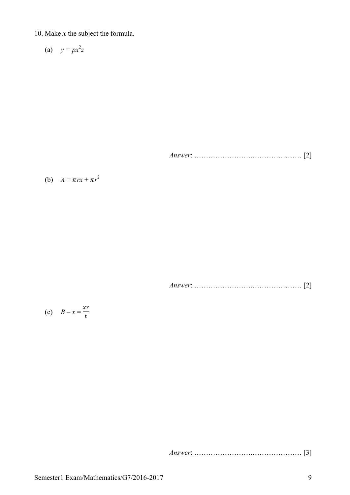10. Make *x* the subject the formula.

$$
(a) \quad y = px^2z
$$

*Answer*: …………………….………………… [2]

(b)  $A = \pi rx + \pi r^2$ 

*Answer*: …………………….………………… [2]

$$
(c) \quad B - x = \frac{xr}{t}
$$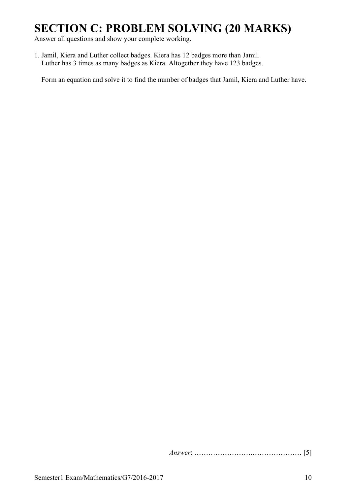## **SECTION C: PROBLEM SOLVING (20 MARKS)**

Answer all questions and show your complete working.

1. Jamil, Kiera and Luther collect badges. Kiera has 12 badges more than Jamil. Luther has 3 times as many badges as Kiera. Altogether they have 123 badges.

Form an equation and solve it to find the number of badges that Jamil, Kiera and Luther have.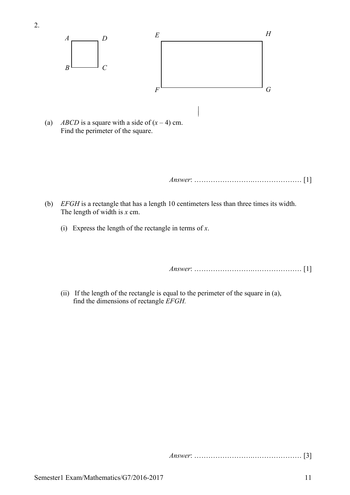

Find the perimeter of the square.

*Answer*: …………………….………………… [1]

- (b) *EFGH* is a rectangle that has a length 10 centimeters less than three times its width. The length of width is *x* cm.
	- (i) Express the length of the rectangle in terms of *x*.

*Answer*: …………………….………………… [1]

 (ii) If the length of the rectangle is equal to the perimeter of the square in (a), find the dimensions of rectangle *EFGH.*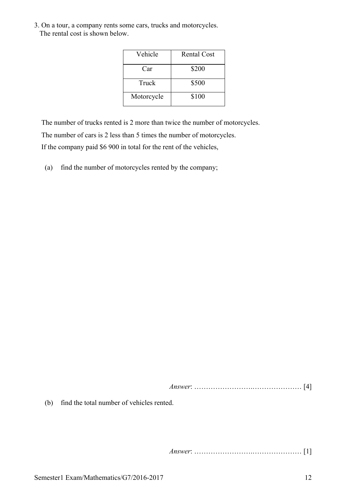3. On a tour, a company rents some cars, trucks and motorcycles. The rental cost is shown below.

| Vehicle    | <b>Rental Cost</b> |
|------------|--------------------|
| Car        | \$200              |
| Truck      | \$500              |
| Motorcycle | \$100              |

The number of trucks rented is 2 more than twice the number of motorcycles.

The number of cars is 2 less than 5 times the number of motorcycles.

If the company paid \$6 900 in total for the rent of the vehicles,

(a) find the number of motorcycles rented by the company;

*Answer*: …………………….………………… [4]

(b) find the total number of vehicles rented.